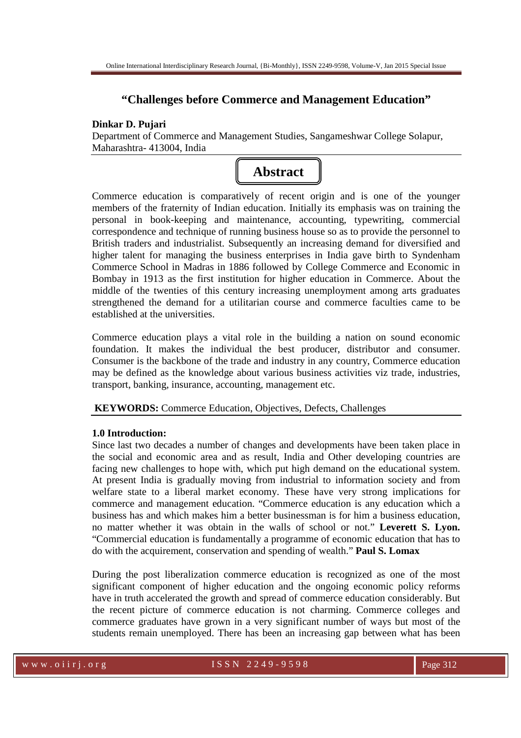# **"Challenges before Commerce and Management Education"**

# **Dinkar D. Pujari**

Department of Commerce and Management Studies, Sangameshwar College Solapur, Maharashtra- 413004, India



Commerce education is comparatively of recent origin and is one of the younger members of the fraternity of Indian education. Initially its emphasis was on training the personal in book-keeping and maintenance, accounting, typewriting, commercial correspondence and technique of running business house so as to provide the personnel to British traders and industrialist. Subsequently an increasing demand for diversified and higher talent for managing the business enterprises in India gave birth to Syndenham Commerce School in Madras in 1886 followed by College Commerce and Economic in Bombay in 1913 as the first institution for higher education in Commerce. About the middle of the twenties of this century increasing unemployment among arts graduates strengthened the demand for a utilitarian course and commerce faculties came to be established at the universities.

Commerce education plays a vital role in the building a nation on sound economic foundation. It makes the individual the best producer, distributor and consumer. Consumer is the backbone of the trade and industry in any country, Commerce education may be defined as the knowledge about various business activities viz trade, industries, transport, banking, insurance, accounting, management etc.

 **KEYWORDS:** Commerce Education, Objectives, Defects, Challenges

### **1.0 Introduction:**

Since last two decades a number of changes and developments have been taken place in the social and economic area and as result, India and Other developing countries are facing new challenges to hope with, which put high demand on the educational system. At present India is gradually moving from industrial to information society and from welfare state to a liberal market economy. These have very strong implications for commerce and management education. "Commerce education is any education which a business has and which makes him a better businessman is for him a business education, no matter whether it was obtain in the walls of school or not." **Leverett S. Lyon.**  "Commercial education is fundamentally a programme of economic education that has to do with the acquirement, conservation and spending of wealth." **Paul S. Lomax** 

During the post liberalization commerce education is recognized as one of the most significant component of higher education and the ongoing economic policy reforms have in truth accelerated the growth and spread of commerce education considerably. But the recent picture of commerce education is not charming. Commerce colleges and commerce graduates have grown in a very significant number of ways but most of the students remain unemployed. There has been an increasing gap between what has been

www.oiirj.org ISSN 2249-9598 Page 312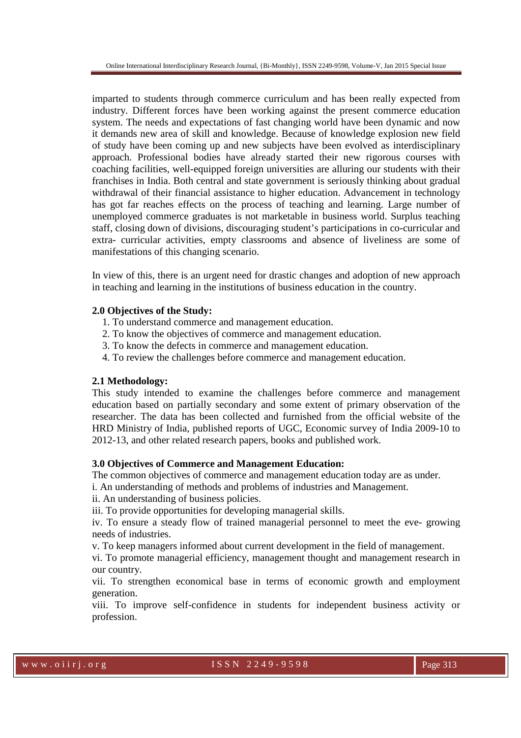imparted to students through commerce curriculum and has been really expected from industry. Different forces have been working against the present commerce education system. The needs and expectations of fast changing world have been dynamic and now it demands new area of skill and knowledge. Because of knowledge explosion new field of study have been coming up and new subjects have been evolved as interdisciplinary approach. Professional bodies have already started their new rigorous courses with coaching facilities, well-equipped foreign universities are alluring our students with their franchises in India. Both central and state government is seriously thinking about gradual withdrawal of their financial assistance to higher education. Advancement in technology has got far reaches effects on the process of teaching and learning. Large number of unemployed commerce graduates is not marketable in business world. Surplus teaching staff, closing down of divisions, discouraging student's participations in co-curricular and extra- curricular activities, empty classrooms and absence of liveliness are some of manifestations of this changing scenario.

In view of this, there is an urgent need for drastic changes and adoption of new approach in teaching and learning in the institutions of business education in the country.

### **2.0 Objectives of the Study:**

- 1. To understand commerce and management education.
- 2. To know the objectives of commerce and management education.
- 3. To know the defects in commerce and management education.
- 4. To review the challenges before commerce and management education.

### **2.1 Methodology:**

This study intended to examine the challenges before commerce and management education based on partially secondary and some extent of primary observation of the researcher. The data has been collected and furnished from the official website of the HRD Ministry of India, published reports of UGC, Economic survey of India 2009-10 to 2012-13, and other related research papers, books and published work.

### **3.0 Objectives of Commerce and Management Education:**

The common objectives of commerce and management education today are as under.

i. An understanding of methods and problems of industries and Management.

ii. An understanding of business policies.

iii. To provide opportunities for developing managerial skills.

iv. To ensure a steady flow of trained managerial personnel to meet the eve- growing needs of industries.

v. To keep managers informed about current development in the field of management.

vi. To promote managerial efficiency, management thought and management research in our country.

vii. To strengthen economical base in terms of economic growth and employment generation.

viii. To improve self-confidence in students for independent business activity or profession.

w w w . o i i r j . o r g 1 S S N 2 2 4 9 - 9 5 9 8 Page 313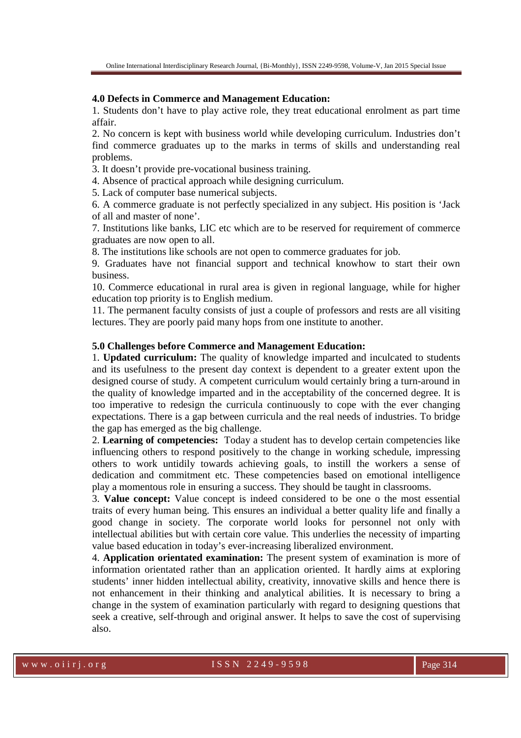# **4.0 Defects in Commerce and Management Education:**

1. Students don't have to play active role, they treat educational enrolment as part time affair.

2. No concern is kept with business world while developing curriculum. Industries don't find commerce graduates up to the marks in terms of skills and understanding real problems.

3. It doesn't provide pre-vocational business training.

4. Absence of practical approach while designing curriculum.

5. Lack of computer base numerical subjects.

6. A commerce graduate is not perfectly specialized in any subject. His position is 'Jack of all and master of none'.

7. Institutions like banks, LIC etc which are to be reserved for requirement of commerce graduates are now open to all.

8. The institutions like schools are not open to commerce graduates for job.

9. Graduates have not financial support and technical knowhow to start their own business.

10. Commerce educational in rural area is given in regional language, while for higher education top priority is to English medium.

11. The permanent faculty consists of just a couple of professors and rests are all visiting lectures. They are poorly paid many hops from one institute to another.

### **5.0 Challenges before Commerce and Management Education:**

1. **Updated curriculum:** The quality of knowledge imparted and inculcated to students and its usefulness to the present day context is dependent to a greater extent upon the designed course of study. A competent curriculum would certainly bring a turn-around in the quality of knowledge imparted and in the acceptability of the concerned degree. It is too imperative to redesign the curricula continuously to cope with the ever changing expectations. There is a gap between curricula and the real needs of industries. To bridge the gap has emerged as the big challenge.

2. **Learning of competencies:** Today a student has to develop certain competencies like influencing others to respond positively to the change in working schedule, impressing others to work untidily towards achieving goals, to instill the workers a sense of dedication and commitment etc. These competencies based on emotional intelligence play a momentous role in ensuring a success. They should be taught in classrooms.

3. **Value concept:** Value concept is indeed considered to be one o the most essential traits of every human being. This ensures an individual a better quality life and finally a good change in society. The corporate world looks for personnel not only with intellectual abilities but with certain core value. This underlies the necessity of imparting value based education in today's ever-increasing liberalized environment.

4. **Application orientated examination:** The present system of examination is more of information orientated rather than an application oriented. It hardly aims at exploring students' inner hidden intellectual ability, creativity, innovative skills and hence there is not enhancement in their thinking and analytical abilities. It is necessary to bring a change in the system of examination particularly with regard to designing questions that seek a creative, self-through and original answer. It helps to save the cost of supervising also.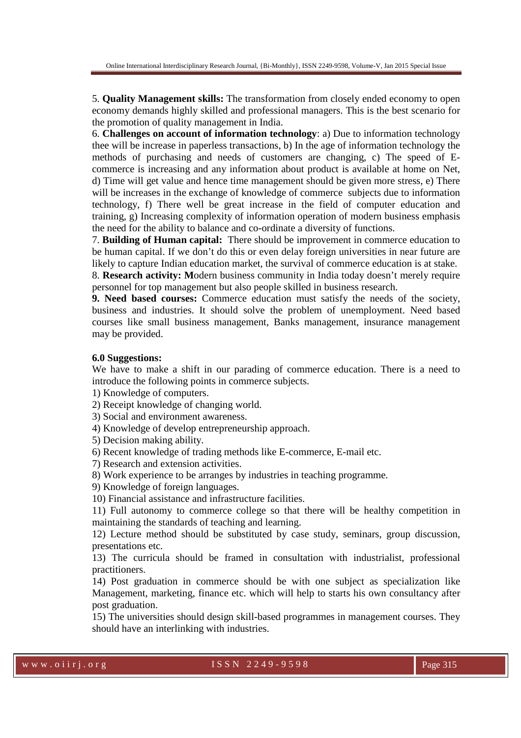5. **Quality Management skills:** The transformation from closely ended economy to open economy demands highly skilled and professional managers. This is the best scenario for the promotion of quality management in India.

6. **Challenges on account of information technology**: a) Due to information technology thee will be increase in paperless transactions, b) In the age of information technology the methods of purchasing and needs of customers are changing, c) The speed of Ecommerce is increasing and any information about product is available at home on Net, d) Time will get value and hence time management should be given more stress, e) There will be increases in the exchange of knowledge of commerce subjects due to information technology, f) There well be great increase in the field of computer education and training, g) Increasing complexity of information operation of modern business emphasis the need for the ability to balance and co-ordinate a diversity of functions.

7. **Building of Human capital:** There should be improvement in commerce education to be human capital. If we don't do this or even delay foreign universities in near future are likely to capture Indian education market, the survival of commerce education is at stake.

8. **Research activity: M**odern business community in India today doesn't merely require personnel for top management but also people skilled in business research.

**9. Need based courses:** Commerce education must satisfy the needs of the society, business and industries. It should solve the problem of unemployment. Need based courses like small business management, Banks management, insurance management may be provided.

### **6.0 Suggestions:**

We have to make a shift in our parading of commerce education. There is a need to introduce the following points in commerce subjects.

1) Knowledge of computers.

2) Receipt knowledge of changing world.

3) Social and environment awareness.

4) Knowledge of develop entrepreneurship approach.

5) Decision making ability.

6) Recent knowledge of trading methods like E-commerce, E-mail etc.

7) Research and extension activities.

8) Work experience to be arranges by industries in teaching programme.

9) Knowledge of foreign languages.

10) Financial assistance and infrastructure facilities.

11) Full autonomy to commerce college so that there will be healthy competition in maintaining the standards of teaching and learning.

12) Lecture method should be substituted by case study, seminars, group discussion, presentations etc.

13) The curricula should be framed in consultation with industrialist, professional practitioners.

14) Post graduation in commerce should be with one subject as specialization like Management, marketing, finance etc. which will help to starts his own consultancy after post graduation.

15) The universities should design skill-based programmes in management courses. They should have an interlinking with industries.